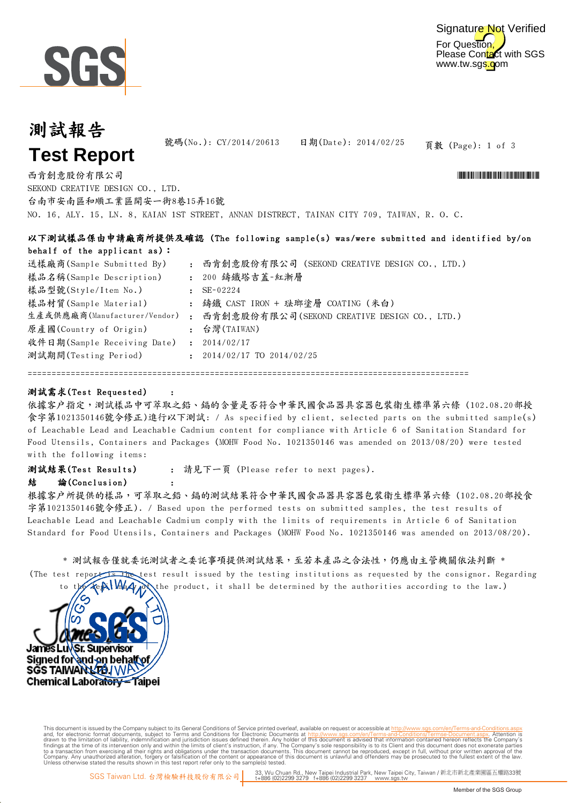

## 測試報告 **Test Report**

頁數 (Page): 1 of 3 號碼(No.): CY/2014/20613 日期(Date): 2014/02/25

NO. 16, ALY. 15, LN. 8, KAIAN 1ST STREET, ANNAN DISTRECT, TAINAN CITY 709, TAIWAN, R. O. C. 西肯創意股份有限公司 \*CY/2014 \*CY/2014 \*CY/2014 \*CY/2014 \*CY/2014 \*CY/2014 \*CY/2014 \*CY/2014 \*CY/2014 \*CY/2014 \*CY/2014 SEKOND CREATIVE DESIGN CO., LTD. 台南市安南區和順工業區開安一街8巷15弄16號

| 以下測試樣品係由申請廠商所提供及確認 (The following sample(s) was/were submitted and identified by/on |                                                                   |          |  |  |  |  |  |  |
|-------------------------------------------------------------------------------------|-------------------------------------------------------------------|----------|--|--|--|--|--|--|
| behalf of the applicant $as$ ):                                                     | : 西肯創意股份有限公司(SEKOND CREATIVE DESIGN CO., LTD.)<br>: 200 鑄鐵塔吉蓋-紅漸層 |          |  |  |  |  |  |  |
| 送樣廠商(Sample Submitted By)                                                           |                                                                   |          |  |  |  |  |  |  |
| 樣品名稱(Sample Description)                                                            |                                                                   |          |  |  |  |  |  |  |
| 樣品型號(Style/Item No.)                                                                |                                                                   | SE-02224 |  |  |  |  |  |  |

: 鑄鐵 CAST IRON + 琺瑯塗層 COATING (米白) 生產或供應廠商(Manufacturer/Vendor) : 西肯創意股份有限公司(SEKOND CREATIVE DESIGN CO., LTD.) : 台灣(TAIWAN) : 2014/02/17 : 測試期間(Testing Period) 2014/02/17 TO 2014/02/25 原產國(Country of Origin) 樣品材質(Sample Material) 收件日期(Sample Receiving Date)

============================================================================================

#### 測試需求(Test Requested)

依據客户指定,測試樣品中可萃取之鉛、鎘的含量是否符合中華民國食品器具容器包裝衛生標準第六條 (102.08.20部授 食字第1021350146號令修正)進行以下測試: / As specified by client, selected parts on the submitted sample(s) of Leachable Lead and Leachable Cadmium content for compliance with Article 6 of Sanitation Standard for Food Utensils, Containers and Packages (MOHW Food No. 1021350146 was amended on 2013/08/20) were tested with the following items:

: 請見下一頁 (Please refer to next pages). 測試結果(Test Results)

:

### 結 論(Conclusion) :

根據客戶所提供的樣品,可萃取之鉛、鎘的測試結果符合中華民國食品器具容器包裝衛生標準第六條 (102.08.20部授食 字第1021350146號令修正). / Based upon the performed tests on submitted samples, the test results of Leachable Lead and Leachable Cadmium comply with the limits of requirements in Article 6 of Sanitation Standard for Food Utensils, Containers and Packages (MOHW Food No. 1021350146 was amended on 2013/08/20).

#### \* 測試報告僅就委託測試是不損提供測試結果,至若本產品之合法性,仍應由主管機關依法判斷 \*

(The test reported test result issued by the testing institutions as requested by the consignor. Regarding the product, it shall be determined by the authorities according to the law.)



Digitally signed by ww. This document is issued by the Company subject to Terms and Conditions of Service printed overleaf, available on request or accessible at th<u>ttp://www.sgs.com/en/Terms-and-Conditions/Termse-Document as apx</u><br>and, for electr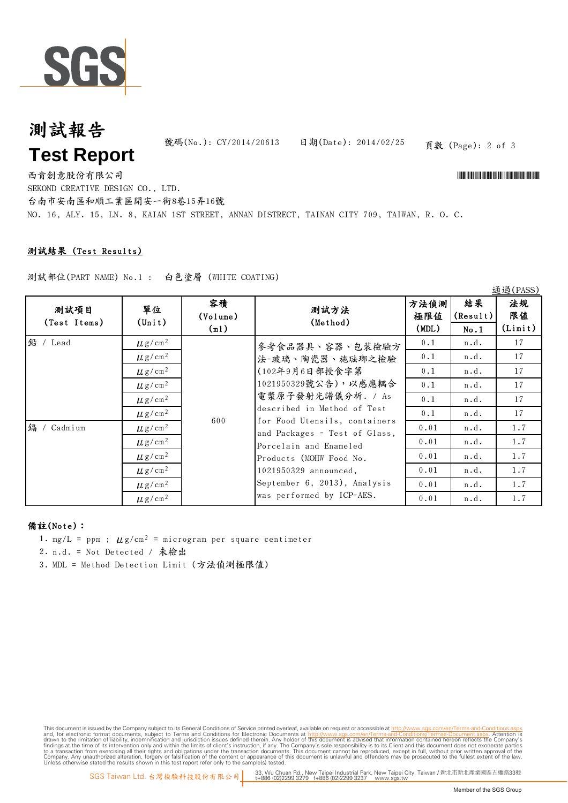

# 測試報告 **Test Report**

號碼(No.): CY/2014/20613 日期(Date): 2014/02/25 頁數 (Page): 2 of 3

 $23.28$  (DACC)

NO. 16, ALY. 15, LN. 8, KAIAN 1ST STREET, ANNAN DISTRECT, TAINAN CITY 709, TAIWAN, R. O. C. 西肯創意股份有限公司 \*CY/2014 \*CY/2014 \*CY/2014 \*CY/2014 \*CY/2014 \*CY/2014 \*CY/2014 \*CY/2014 \*CY/2014 \*CY/2014 \*CY/2014 SEKOND CREATIVE DESIGN CO., LTD. 台南市安南區和順工業區開安一街8巷15弄16號

### 測試結果 (Test Results)

測試部位(PART NAME) No.1 : 白色塗層 (WHITE COATING)

| 测試項目<br>(Test Items)       | 單位<br>$(\text{Unit})$   | 容積<br>(Volume)<br>(m1) | 測試方法<br>(Method)                                                                                                                                                                                                                                                                      | 方法偵測<br>極限値<br>(MDL) | 結果<br>(Result)<br>No.1 | 10万万(T UOO)<br>法規<br>限值<br>(Limit) |
|----------------------------|-------------------------|------------------------|---------------------------------------------------------------------------------------------------------------------------------------------------------------------------------------------------------------------------------------------------------------------------------------|----------------------|------------------------|------------------------------------|
| 鉛 / Lead<br>鎘<br>/ Cadmium | $\mu$ g/cm <sup>2</sup> | 600                    | 參考食品器具、容器、包裝檢驗方<br>法-玻璃、陶瓷器、施珐瑯之檢驗                                                                                                                                                                                                                                                    | 0.1                  | n.d.                   | 17                                 |
|                            | $\mu$ g/cm <sup>2</sup> |                        |                                                                                                                                                                                                                                                                                       | 0.1                  | n.d.                   | 17                                 |
|                            | $\mu$ g/cm <sup>2</sup> |                        | (102年9月6日部授食字第                                                                                                                                                                                                                                                                        | 0.1                  | n.d.                   | 17                                 |
|                            | $\mu$ g/cm <sup>2</sup> |                        | 1021950329號公告),以感應耦合<br>電漿原子發射光譜儀分析. / As<br>described in Method of Test<br>for Food Utensils, containers<br>and Packages - Test of Glass,<br>Porcelain and Enameled<br>Products (MOHW Food No.<br>1021950329 announced,<br>September 6, 2013), Analysis<br>was performed by ICP-AES. | 0.1                  | n.d.                   | 17                                 |
|                            | $\mu$ g/cm <sup>2</sup> |                        |                                                                                                                                                                                                                                                                                       | 0.1                  | n.d.                   | 17                                 |
|                            | $\mu$ g/cm <sup>2</sup> |                        |                                                                                                                                                                                                                                                                                       | 0.1                  | n.d.                   | 17                                 |
|                            | $\mu$ g/cm <sup>2</sup> |                        |                                                                                                                                                                                                                                                                                       | 0.01                 | n.d.                   | 1.7                                |
|                            | $\mu$ g/cm <sup>2</sup> |                        |                                                                                                                                                                                                                                                                                       | 0.01                 | n.d.                   | 1.7                                |
|                            | $\mu$ g/cm <sup>2</sup> |                        |                                                                                                                                                                                                                                                                                       | 0.01                 | n.d.                   | 1.7                                |
|                            | $\mu$ g/cm <sup>2</sup> |                        |                                                                                                                                                                                                                                                                                       | 0.01                 | n.d.                   | 1.7                                |
|                            | $\mu$ g/cm <sup>2</sup> |                        |                                                                                                                                                                                                                                                                                       | 0.01                 | n.d.                   | 1.7                                |
|                            | $\mu$ g/cm <sup>2</sup> |                        |                                                                                                                                                                                                                                                                                       | 0.01                 | n.d.                   | 1.7                                |

#### 備註(Note):

- 1. mg/L = ppm ;  $\mu$ g/cm<sup>2</sup> = microgram per square centimeter
- 2. n.d. = Not Detected / 未檢出
- 3. MDL = Method Detection Limit (方法偵測極限值)

This document is issued by the Company subject to Terms and Conditions of Service printed overleaf, available on request or accessible at th<u>ttp://www.sgs.com/en/Terms-and-Conditions/Termse-Document as apx</u><br>and, for electr